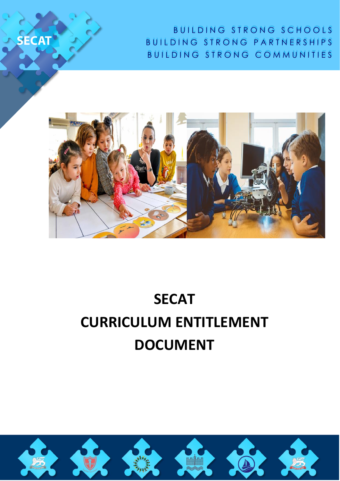

SECAT

# **SECAT CURRICULUM ENTITLEMENT DOCUMENT**

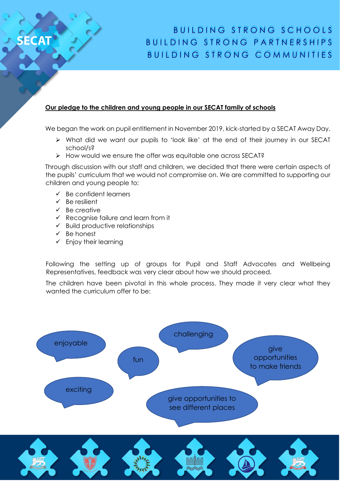#### **Our pledge to the children and young people in our SECAT family of schools**

We began the work on pupil entitlement in November 2019, kick-started by a SECAT Away Day.

- ➢ What did we want our pupils to 'look like' at the end of their journey in our SECAT school/s?
- ➢ How would we ensure the offer was equitable one across SECAT?

Through discussion with our staff and children, we decided that there were certain aspects of the pupils' curriculum that we would not compromise on. We are committed to supporting our children and young people to:

- $\checkmark$  Be confident learners
- ✓ Be resilient

ECAT

- ✓ Be creative
- ✓ Recognise failure and learn from it
- $\checkmark$  Build productive relationships
- ✓ Be honest
- $\checkmark$  Enjoy their learning

Following the setting up of groups for Pupil and Staff Advocates and Wellbeing Representatives, feedback was very clear about how we should proceed.

The children have been pivotal in this whole process. They made it very clear what they wanted the curriculum offer to be:

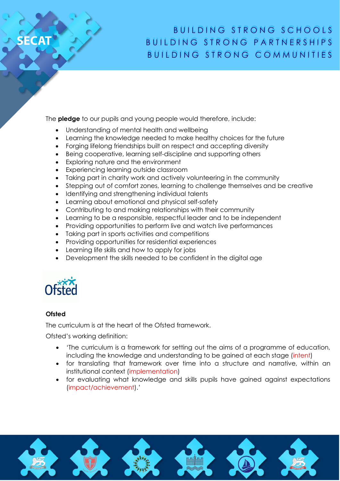The **pledge** to our pupils and young people would therefore, include:

- Understanding of mental health and wellbeing
- Learning the knowledge needed to make healthy choices for the future
- Forging lifelong friendships built on respect and accepting diversity
- Being cooperative, learning self-discipline and supporting others
- Exploring nature and the environment
- Experiencing learning outside classroom
- Taking part in charity work and actively volunteering in the community
- Stepping out of comfort zones, learning to challenge themselves and be creative
- Identifying and strengthening individual talents
- Learning about emotional and physical self-safety
- Contributing to and making relationships with their community
- Learning to be a responsible, respectful leader and to be independent
- Providing opportunities to perform live and watch live performances
- Taking part in sports activities and competitions
- Providing opportunities for residential experiences
- Learning life skills and how to apply for jobs
- Development the skills needed to be confident in the digital age



#### **Ofsted**

**ECAT** 

The curriculum is at the heart of the Ofsted framework.

Ofsted's working definition:

- 'The curriculum is a framework for setting out the aims of a programme of education, including the knowledge and understanding to be gained at each stage (intent)
- for translating that framework over time into a structure and narrative, within an institutional context (implementation)
- for evaluating what knowledge and skills pupils have gained against expectations (impact/achievement).'